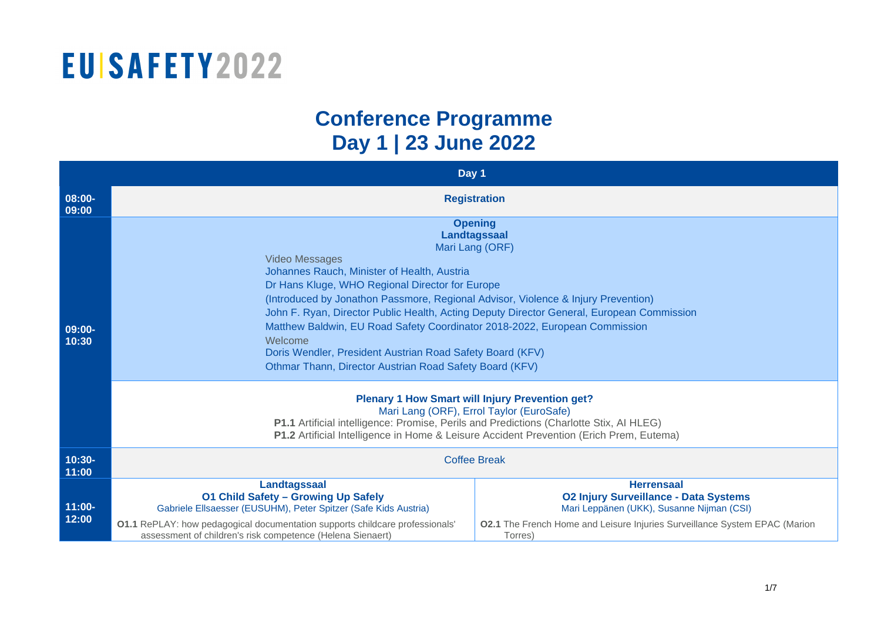#### **Conference Programme Day 1 | 23 June 2022**

|                    | Day 1                                                                                                                                                                                                                                                                                                                                                                                                                                                                                                                                                                           |                                                                                                                                                                                                         |  |  |
|--------------------|---------------------------------------------------------------------------------------------------------------------------------------------------------------------------------------------------------------------------------------------------------------------------------------------------------------------------------------------------------------------------------------------------------------------------------------------------------------------------------------------------------------------------------------------------------------------------------|---------------------------------------------------------------------------------------------------------------------------------------------------------------------------------------------------------|--|--|
| 08:00-<br>09:00    | <b>Registration</b>                                                                                                                                                                                                                                                                                                                                                                                                                                                                                                                                                             |                                                                                                                                                                                                         |  |  |
| 09:00-<br>10:30    | <b>Opening</b><br>Landtagssaal<br>Mari Lang (ORF)<br><b>Video Messages</b><br>Johannes Rauch, Minister of Health, Austria<br>Dr Hans Kluge, WHO Regional Director for Europe<br>(Introduced by Jonathon Passmore, Regional Advisor, Violence & Injury Prevention)<br>John F. Ryan, Director Public Health, Acting Deputy Director General, European Commission<br>Matthew Baldwin, EU Road Safety Coordinator 2018-2022, European Commission<br>Welcome<br>Doris Wendler, President Austrian Road Safety Board (KFV)<br>Othmar Thann, Director Austrian Road Safety Board (KFV) |                                                                                                                                                                                                         |  |  |
|                    | <b>Plenary 1 How Smart will Injury Prevention get?</b><br>Mari Lang (ORF), Errol Taylor (EuroSafe)<br>P1.1 Artificial intelligence: Promise, Perils and Predictions (Charlotte Stix, AI HLEG)<br>P1.2 Artificial Intelligence in Home & Leisure Accident Prevention (Erich Prem, Eutema)                                                                                                                                                                                                                                                                                        |                                                                                                                                                                                                         |  |  |
| $10:30-$<br>11:00  | <b>Coffee Break</b>                                                                                                                                                                                                                                                                                                                                                                                                                                                                                                                                                             |                                                                                                                                                                                                         |  |  |
| $11:00 -$<br>12:00 | Landtagssaal<br><b>01 Child Safety - Growing Up Safely</b><br>Gabriele Ellsaesser (EUSUHM), Peter Spitzer (Safe Kids Austria)<br><b>01.1</b> RePLAY: how pedagogical documentation supports childcare professionals'<br>assessment of children's risk competence (Helena Sienaert)                                                                                                                                                                                                                                                                                              | <b>Herrensaal</b><br><b>02 Injury Surveillance - Data Systems</b><br>Mari Leppänen (UKK), Susanne Nijman (CSI)<br>02.1 The French Home and Leisure Injuries Surveillance System EPAC (Marion<br>Torres) |  |  |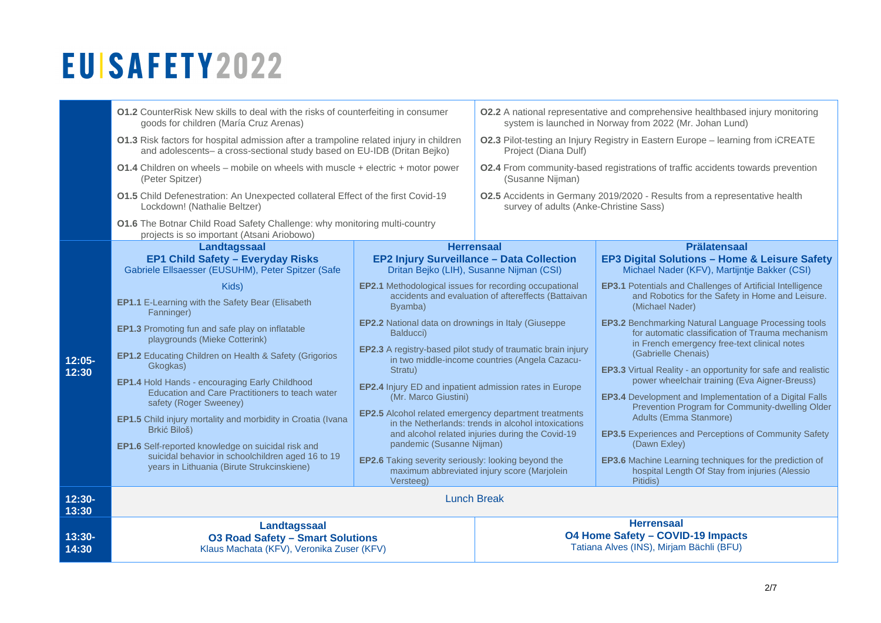|                    | 01.2 CounterRisk New skills to deal with the risks of counterfeiting in consumer<br>goods for children (María Cruz Arenas)<br>01.3 Risk factors for hospital admission after a trampoline related injury in children<br>and adolescents- a cross-sectional study based on EU-IDB (Dritan Bejko) |                                                                                                                                                                                                                                                                                                                                                  | <b>O2.2</b> A national representative and comprehensive healthbased injury monitoring<br>system is launched in Norway from 2022 (Mr. Johan Lund) |                                                                                                                                                                 |  |
|--------------------|-------------------------------------------------------------------------------------------------------------------------------------------------------------------------------------------------------------------------------------------------------------------------------------------------|--------------------------------------------------------------------------------------------------------------------------------------------------------------------------------------------------------------------------------------------------------------------------------------------------------------------------------------------------|--------------------------------------------------------------------------------------------------------------------------------------------------|-----------------------------------------------------------------------------------------------------------------------------------------------------------------|--|
|                    |                                                                                                                                                                                                                                                                                                 |                                                                                                                                                                                                                                                                                                                                                  | 02.3 Pilot-testing an Injury Registry in Eastern Europe - learning from iCREATE<br>Project (Diana Dulf)                                          |                                                                                                                                                                 |  |
|                    | (Peter Spitzer)                                                                                                                                                                                                                                                                                 | 01.4 Children on wheels - mobile on wheels with muscle + electric + motor power                                                                                                                                                                                                                                                                  |                                                                                                                                                  | 02.4 From community-based registrations of traffic accidents towards prevention<br>(Susanne Nijman)                                                             |  |
|                    | 01.5 Child Defenestration: An Unexpected collateral Effect of the first Covid-19<br>Lockdown! (Nathalie Beltzer)                                                                                                                                                                                |                                                                                                                                                                                                                                                                                                                                                  | survey of adults (Anke-Christine Sass)                                                                                                           | 02.5 Accidents in Germany 2019/2020 - Results from a representative health                                                                                      |  |
|                    | 01.6 The Botnar Child Road Safety Challenge: why monitoring multi-country<br>projects is so important (Atsani Ariobowo)                                                                                                                                                                         |                                                                                                                                                                                                                                                                                                                                                  |                                                                                                                                                  |                                                                                                                                                                 |  |
|                    | Landtagssaal<br><b>EP1 Child Safety - Everyday Risks</b><br>Gabriele Ellsaesser (EUSUHM), Peter Spitzer (Safe                                                                                                                                                                                   | <b>Herrensaal</b><br>EP2 Injury Surveillance - Data Collection<br>Dritan Bejko (LIH), Susanne Nijman (CSI)                                                                                                                                                                                                                                       |                                                                                                                                                  | <b>Prälatensaal</b><br><b>EP3 Digital Solutions - Home &amp; Leisure Safety</b><br>Michael Nader (KFV), Martijntje Bakker (CSI)                                 |  |
|                    | Kids)<br>EP1.1 E-Learning with the Safety Bear (Elisabeth<br>Fanninger)                                                                                                                                                                                                                         | <b>EP2.1</b> Methodological issues for recording occupational<br>accidents and evaluation of aftereffects (Battaivan<br>Byamba)                                                                                                                                                                                                                  |                                                                                                                                                  | <b>EP3.1</b> Potentials and Challenges of Artificial Intelligence<br>and Robotics for the Safety in Home and Leisure.<br>(Michael Nader)                        |  |
|                    | EP1.3 Promoting fun and safe play on inflatable<br>playgrounds (Mieke Cotterink)                                                                                                                                                                                                                | <b>EP2.2</b> National data on drownings in Italy (Giuseppe<br>Balducci)<br>EP2.3 A registry-based pilot study of traumatic brain injury<br>in two middle-income countries (Angela Cazacu-<br>Stratu)<br>EP2.4 Injury ED and inpatient admission rates in Europe<br>(Mr. Marco Giustini)<br>EP2.5 Alcohol related emergency department treatments |                                                                                                                                                  | <b>EP3.2</b> Benchmarking Natural Language Processing tools<br>for automatic classification of Trauma mechanism<br>in French emergency free-text clinical notes |  |
| $12:05 -$<br>12:30 | EP1.2 Educating Children on Health & Safety (Grigorios<br>Gkogkas)<br><b>EP1.4 Hold Hands - encouraging Early Childhood</b>                                                                                                                                                                     |                                                                                                                                                                                                                                                                                                                                                  |                                                                                                                                                  | (Gabrielle Chenais)<br><b>EP3.3</b> Virtual Reality - an opportunity for safe and realistic<br>power wheelchair training (Eva Aigner-Breuss)                    |  |
|                    | Education and Care Practitioners to teach water<br>safety (Roger Sweeney)                                                                                                                                                                                                                       |                                                                                                                                                                                                                                                                                                                                                  |                                                                                                                                                  | EP3.4 Development and Implementation of a Digital Falls<br>Prevention Program for Community-dwelling Older<br>Adults (Emma Stanmore)                            |  |
|                    | <b>EP1.5</b> Child injury mortality and morbidity in Croatia (Ivana<br>Brkić Biloš)<br>EP1.6 Self-reported knowledge on suicidal risk and                                                                                                                                                       | pandemic (Susanne Nijman)                                                                                                                                                                                                                                                                                                                        | in the Netherlands: trends in alcohol intoxications<br>and alcohol related injuries during the Covid-19                                          | <b>EP3.5</b> Experiences and Perceptions of Community Safety<br>(Dawn Exlev)                                                                                    |  |
|                    | suicidal behavior in schoolchildren aged 16 to 19<br>years in Lithuania (Birute Strukcinskiene)                                                                                                                                                                                                 | EP2.6 Taking severity seriously: looking beyond the<br>maximum abbreviated injury score (Marjolein<br>Versteeg)                                                                                                                                                                                                                                  |                                                                                                                                                  | EP3.6 Machine Learning techniques for the prediction of<br>hospital Length Of Stay from injuries (Alessio<br>Pitidis)                                           |  |
| $12:30-$<br>13:30  | <b>Lunch Break</b>                                                                                                                                                                                                                                                                              |                                                                                                                                                                                                                                                                                                                                                  |                                                                                                                                                  |                                                                                                                                                                 |  |
| $13:30-$<br>14:30  | Landtagssaal<br><b>03 Road Safety - Smart Solutions</b><br>Klaus Machata (KFV), Veronika Zuser (KFV)                                                                                                                                                                                            |                                                                                                                                                                                                                                                                                                                                                  |                                                                                                                                                  | <b>Herrensaal</b><br><b>O4 Home Safety - COVID-19 Impacts</b><br>Tatiana Alves (INS), Mirjam Bächli (BFU)                                                       |  |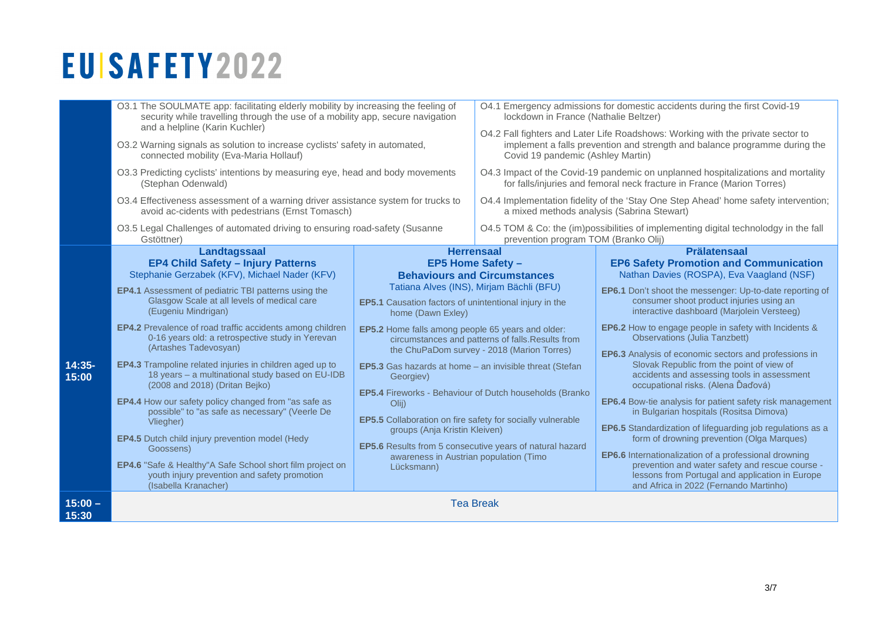|                    | O3.1 The SOULMATE app: facilitating elderly mobility by increasing the feeling of<br>security while travelling through the use of a mobility app, secure navigation<br>and a helpline (Karin Kuchler)<br>O3.2 Warning signals as solution to increase cyclists' safety in automated,<br>connected mobility (Eva-Maria Hollauf)<br>O3.3 Predicting cyclists' intentions by measuring eye, head and body movements<br>(Stephan Odenwald) |                                                                                                                                                                                                                                                                                                                     | O4.1 Emergency admissions for domestic accidents during the first Covid-19<br>lockdown in France (Nathalie Beltzer)                                                                                |                                                                                                                                                                                                                                        |
|--------------------|----------------------------------------------------------------------------------------------------------------------------------------------------------------------------------------------------------------------------------------------------------------------------------------------------------------------------------------------------------------------------------------------------------------------------------------|---------------------------------------------------------------------------------------------------------------------------------------------------------------------------------------------------------------------------------------------------------------------------------------------------------------------|----------------------------------------------------------------------------------------------------------------------------------------------------------------------------------------------------|----------------------------------------------------------------------------------------------------------------------------------------------------------------------------------------------------------------------------------------|
|                    |                                                                                                                                                                                                                                                                                                                                                                                                                                        |                                                                                                                                                                                                                                                                                                                     | O4.2 Fall fighters and Later Life Roadshows: Working with the private sector to<br>implement a falls prevention and strength and balance programme during the<br>Covid 19 pandemic (Ashley Martin) |                                                                                                                                                                                                                                        |
|                    |                                                                                                                                                                                                                                                                                                                                                                                                                                        |                                                                                                                                                                                                                                                                                                                     | O4.3 Impact of the Covid-19 pandemic on unplanned hospitalizations and mortality<br>for falls/injuries and femoral neck fracture in France (Marion Torres)                                         |                                                                                                                                                                                                                                        |
|                    | O3.4 Effectiveness assessment of a warning driver assistance system for trucks to<br>avoid ac-cidents with pedestrians (Ernst Tomasch)                                                                                                                                                                                                                                                                                                 |                                                                                                                                                                                                                                                                                                                     | O4.4 Implementation fidelity of the 'Stay One Step Ahead' home safety intervention;<br>a mixed methods analysis (Sabrina Stewart)                                                                  |                                                                                                                                                                                                                                        |
|                    | O3.5 Legal Challenges of automated driving to ensuring road-safety (Susanne<br>Gstöttner)                                                                                                                                                                                                                                                                                                                                              |                                                                                                                                                                                                                                                                                                                     | prevention program TOM (Branko Olij)                                                                                                                                                               | O4.5 TOM & Co: the (im)possibilities of implementing digital technolodgy in the fall                                                                                                                                                   |
|                    | Landtagssaal<br><b>EP4 Child Safety - Injury Patterns</b><br>Stephanie Gerzabek (KFV), Michael Nader (KFV)                                                                                                                                                                                                                                                                                                                             | <b>Herrensaal</b>                                                                                                                                                                                                                                                                                                   | <b>EP5 Home Safety -</b><br><b>Behaviours and Circumstances</b>                                                                                                                                    | <b>Prälatensaal</b><br><b>EP6 Safety Promotion and Communication</b><br>Nathan Davies (ROSPA), Eva Vaagland (NSF)                                                                                                                      |
|                    | <b>EP4.1</b> Assessment of pediatric TBI patterns using the<br>Glasgow Scale at all levels of medical care                                                                                                                                                                                                                                                                                                                             | EP5.1 Causation factors of unintentional injury in the                                                                                                                                                                                                                                                              | Tatiana Alves (INS), Mirjam Bächli (BFU)                                                                                                                                                           | EP6.1 Don't shoot the messenger: Up-to-date reporting of<br>consumer shoot product injuries using an                                                                                                                                   |
|                    | (Eugeniu Mindrigan)<br>EP4.2 Prevalence of road traffic accidents among children                                                                                                                                                                                                                                                                                                                                                       | home (Dawn Exley)<br><b>EP5.2</b> Home falls among people 65 years and older:<br>circumstances and patterns of falls. Results from<br>the ChuPaDom survey - 2018 (Marion Torres)<br>EP5.3 Gas hazards at home - an invisible threat (Stefan<br>Georgiev)<br>EP5.4 Fireworks - Behaviour of Dutch households (Branko |                                                                                                                                                                                                    | interactive dashboard (Marjolein Versteeg)<br><b>EP6.2</b> How to engage people in safety with Incidents &                                                                                                                             |
|                    | 0-16 years old: a retrospective study in Yerevan<br>(Artashes Tadevosyan)                                                                                                                                                                                                                                                                                                                                                              |                                                                                                                                                                                                                                                                                                                     |                                                                                                                                                                                                    | <b>Observations (Julia Tanzbett)</b><br><b>EP6.3</b> Analysis of economic sectors and professions in<br>Slovak Republic from the point of view of<br>accidents and assessing tools in assessment<br>occupational risks. (Alena Ďaďová) |
| 14:35-<br>15:00    | EP4.3 Trampoline related injuries in children aged up to<br>18 years - a multinational study based on EU-IDB<br>(2008 and 2018) (Dritan Bejko)                                                                                                                                                                                                                                                                                         |                                                                                                                                                                                                                                                                                                                     |                                                                                                                                                                                                    |                                                                                                                                                                                                                                        |
|                    | EP4.4 How our safety policy changed from "as safe as<br>possible" to "as safe as necessary" (Veerle De<br>Vliegher)                                                                                                                                                                                                                                                                                                                    | O(i)<br>EP5.5 Collaboration on fire safety for socially vulnerable                                                                                                                                                                                                                                                  |                                                                                                                                                                                                    | EP6.4 Bow-tie analysis for patient safety risk management<br>in Bulgarian hospitals (Rositsa Dimova)                                                                                                                                   |
|                    | <b>EP4.5</b> Dutch child injury prevention model (Hedy<br>Goossens)                                                                                                                                                                                                                                                                                                                                                                    | groups (Anja Kristin Kleiven)<br><b>EP5.6</b> Results from 5 consecutive years of natural hazard                                                                                                                                                                                                                    |                                                                                                                                                                                                    | <b>EP6.5</b> Standardization of lifeguarding job regulations as a<br>form of drowning prevention (Olga Marques)                                                                                                                        |
|                    | EP4.6 "Safe & Healthy"A Safe School short film project on<br>youth injury prevention and safety promotion<br>(Isabella Kranacher)                                                                                                                                                                                                                                                                                                      | awareness in Austrian population (Timo<br>Lücksmann)                                                                                                                                                                                                                                                                |                                                                                                                                                                                                    | <b>EP6.6</b> Internationalization of a professional drowning<br>prevention and water safety and rescue course -<br>lessons from Portugal and application in Europe<br>and Africa in 2022 (Fernando Martinho)                           |
| $15:00 -$<br>15:30 | <b>Tea Break</b>                                                                                                                                                                                                                                                                                                                                                                                                                       |                                                                                                                                                                                                                                                                                                                     |                                                                                                                                                                                                    |                                                                                                                                                                                                                                        |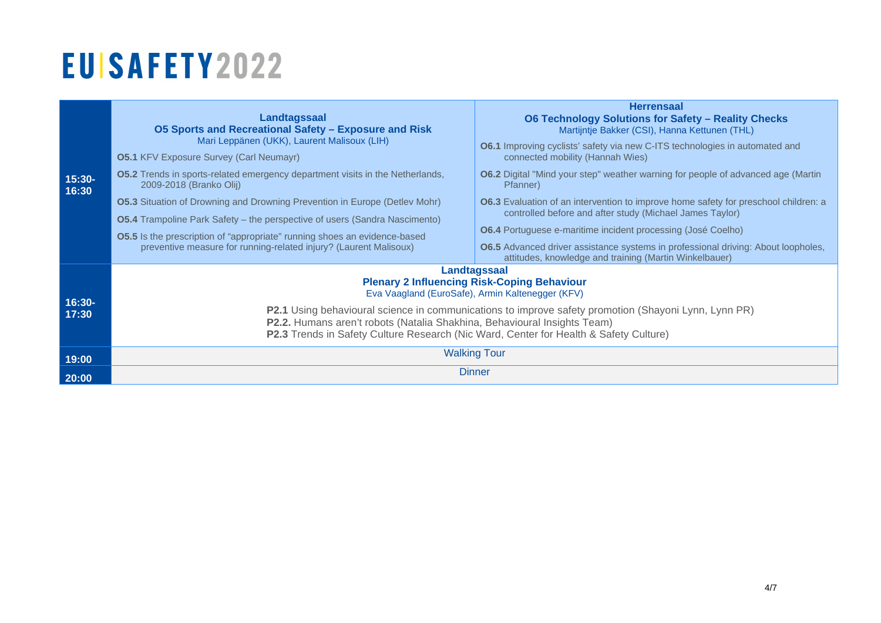| $15:30-$<br>16:30 | Landtagssaal<br><b>05 Sports and Recreational Safety - Exposure and Risk</b><br>Mari Leppänen (UKK), Laurent Malisoux (LIH)<br><b>05.1 KFV Exposure Survey (Carl Neumayr)</b>                                                                                                                                                   | <b>Herrensaal</b><br><b>O6 Technology Solutions for Safety - Reality Checks</b><br>Martijntje Bakker (CSI), Hanna Kettunen (THL)<br><b>O6.1</b> Improving cyclists' safety via new C-ITS technologies in automated and<br>connected mobility (Hannah Wies)                                                                                                                          |  |  |
|-------------------|---------------------------------------------------------------------------------------------------------------------------------------------------------------------------------------------------------------------------------------------------------------------------------------------------------------------------------|-------------------------------------------------------------------------------------------------------------------------------------------------------------------------------------------------------------------------------------------------------------------------------------------------------------------------------------------------------------------------------------|--|--|
|                   | <b>O5.2</b> Trends in sports-related emergency department visits in the Netherlands,<br>2009-2018 (Branko Olij)                                                                                                                                                                                                                 | <b>O6.2</b> Digital "Mind your step" weather warning for people of advanced age (Martin<br>Pfanner)                                                                                                                                                                                                                                                                                 |  |  |
|                   | <b>05.3</b> Situation of Drowning and Drowning Prevention in Europe (Detlev Mohr)<br><b>O5.4</b> Trampoline Park Safety – the perspective of users (Sandra Nascimento)<br><b>O5.5</b> Is the prescription of "appropriate" running shoes an evidence-based<br>preventive measure for running-related injury? (Laurent Malisoux) | <b>O6.3</b> Evaluation of an intervention to improve home safety for preschool children: a<br>controlled before and after study (Michael James Taylor)<br><b>O6.4</b> Portuguese e-maritime incident processing (José Coelho)<br><b>O6.5</b> Advanced driver assistance systems in professional driving: About loopholes,<br>attitudes, knowledge and training (Martin Winkelbauer) |  |  |
|                   | Landtagssaal<br><b>Plenary 2 Influencing Risk-Coping Behaviour</b><br>Eva Vaagland (EuroSafe), Armin Kaltenegger (KFV)                                                                                                                                                                                                          |                                                                                                                                                                                                                                                                                                                                                                                     |  |  |
| $16:30-$<br>17:30 | P2.1 Using behavioural science in communications to improve safety promotion (Shayoni Lynn, Lynn PR)<br>P2.2. Humans aren't robots (Natalia Shakhina, Behavioural Insights Team)<br>P2.3 Trends in Safety Culture Research (Nic Ward, Center for Health & Safety Culture)                                                       |                                                                                                                                                                                                                                                                                                                                                                                     |  |  |
| 19:00             | <b>Walking Tour</b>                                                                                                                                                                                                                                                                                                             |                                                                                                                                                                                                                                                                                                                                                                                     |  |  |
| 20:00             | <b>Dinner</b>                                                                                                                                                                                                                                                                                                                   |                                                                                                                                                                                                                                                                                                                                                                                     |  |  |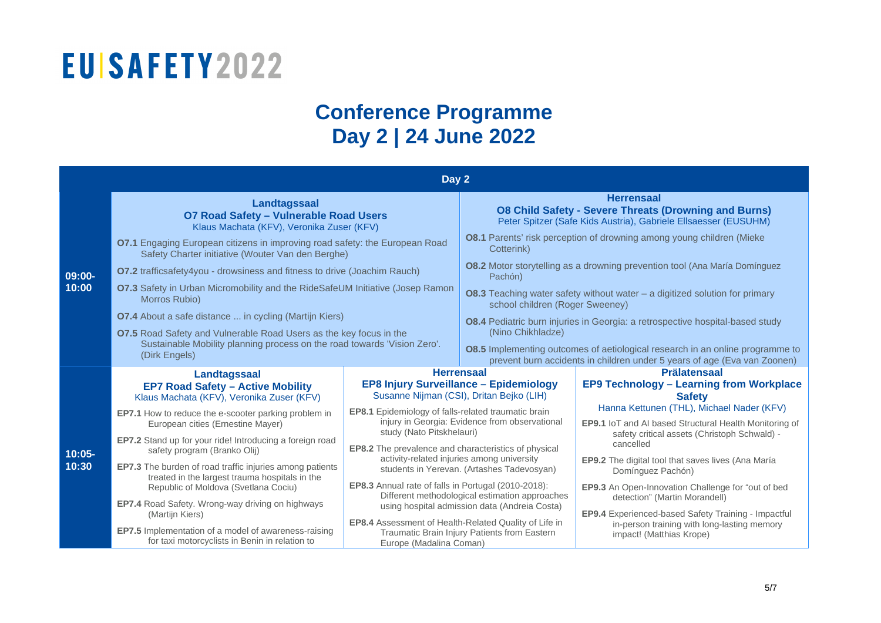### **Conference Programme Day 2 | 24 June 2022**

| Day 2              |                                                                                                                                                                 |                                                                                                                                  |                                                                                                                                                                                       |                                                                                     |
|--------------------|-----------------------------------------------------------------------------------------------------------------------------------------------------------------|----------------------------------------------------------------------------------------------------------------------------------|---------------------------------------------------------------------------------------------------------------------------------------------------------------------------------------|-------------------------------------------------------------------------------------|
|                    | Landtagssaal<br>O7 Road Safety - Vulnerable Road Users<br>Klaus Machata (KFV), Veronika Zuser (KFV)                                                             |                                                                                                                                  | <b>Herrensaal</b><br><b>08 Child Safety - Severe Threats (Drowning and Burns)</b><br>Peter Spitzer (Safe Kids Austria), Gabriele Ellsaesser (EUSUHM)                                  |                                                                                     |
|                    | <b>O7.1</b> Engaging European citizens in improving road safety: the European Road<br>Safety Charter initiative (Wouter Van den Berghe)                         |                                                                                                                                  | <b>08.1</b> Parents' risk perception of drowning among young children (Mieke<br>Cotterink)                                                                                            |                                                                                     |
| 09:00-             | <b>07.2</b> trafficsafety4you - drowsiness and fitness to drive (Joachim Rauch)                                                                                 |                                                                                                                                  | <b>08.2</b> Motor storytelling as a drowning prevention tool (Ana María Domínguez<br>Pachón)                                                                                          |                                                                                     |
| 10:00              | O7.3 Safety in Urban Micromobility and the RideSafeUM Initiative (Josep Ramon<br>Morros Rubio)                                                                  |                                                                                                                                  | <b>08.3</b> Teaching water safety without water $-$ a digitized solution for primary<br>school children (Roger Sweeney)                                                               |                                                                                     |
|                    | <b>O7.4</b> About a safe distance  in cycling (Martijn Kiers)                                                                                                   |                                                                                                                                  | <b>08.4</b> Pediatric burn injuries in Georgia: a retrospective hospital-based study                                                                                                  |                                                                                     |
|                    | 07.5 Road Safety and Vulnerable Road Users as the key focus in the<br>Sustainable Mobility planning process on the road towards 'Vision Zero'.<br>(Dirk Engels) |                                                                                                                                  | (Nino Chikhladze)<br><b>08.5</b> Implementing outcomes of aetiological research in an online programme to<br>prevent burn accidents in children under 5 years of age (Eva van Zoonen) |                                                                                     |
|                    | <b>Landtagssaal</b>                                                                                                                                             | <b>Herrensaal</b>                                                                                                                |                                                                                                                                                                                       | <b>Prälatensaal</b>                                                                 |
|                    | <b>EP7 Road Safety - Active Mobility</b><br>Klaus Machata (KFV), Veronika Zuser (KFV)                                                                           | EP8 Injury Surveillance - Epidemiology<br>Susanne Nijman (CSI), Dritan Bejko (LIH)                                               |                                                                                                                                                                                       | <b>EP9 Technology - Learning from Workplace</b><br><b>Safety</b>                    |
|                    | <b>EP7.1</b> How to reduce the e-scooter parking problem in                                                                                                     | EP8.1 Epidemiology of falls-related traumatic brain                                                                              |                                                                                                                                                                                       | Hanna Kettunen (THL), Michael Nader (KFV)                                           |
|                    | European cities (Ernestine Mayer)                                                                                                                               | study (Nato Pitskhelauri)                                                                                                        | injury in Georgia: Evidence from observational                                                                                                                                        | <b>EP9.1</b> IoT and AI based Structural Health Monitoring of                       |
|                    | EP7.2 Stand up for your ride! Introducing a foreign road                                                                                                        | <b>EP8.2</b> The prevalence and characteristics of physical                                                                      |                                                                                                                                                                                       | safety critical assets (Christoph Schwald) -<br>cancelled                           |
| $10:05 -$<br>10:30 | safety program (Branko Olij)<br><b>EP7.3</b> The burden of road traffic injuries among patients                                                                 | activity-related injuries among university                                                                                       |                                                                                                                                                                                       | EP9.2 The digital tool that saves lives (Ana María                                  |
|                    | treated in the largest trauma hospitals in the                                                                                                                  |                                                                                                                                  | students in Yerevan. (Artashes Tadevosyan)                                                                                                                                            | Domínguez Pachón)                                                                   |
|                    | Republic of Moldova (Svetlana Cociu)                                                                                                                            | EP8.3 Annual rate of falls in Portugal (2010-2018):                                                                              | Different methodological estimation approaches                                                                                                                                        | EP9.3 An Open-Innovation Challenge for "out of bed<br>detection" (Martin Morandell) |
|                    | <b>EP7.4</b> Road Safety. Wrong-way driving on highways<br>(Martijn Kiers)                                                                                      |                                                                                                                                  | using hospital admission data (Andreia Costa)                                                                                                                                         | EP9.4 Experienced-based Safety Training - Impactful                                 |
|                    | <b>EP7.5</b> Implementation of a model of awareness-raising<br>for taxi motorcyclists in Benin in relation to                                                   | EP8.4 Assessment of Health-Related Quality of Life in<br>Traumatic Brain Injury Patients from Eastern<br>Europe (Madalina Coman) |                                                                                                                                                                                       | in-person training with long-lasting memory<br>impact! (Matthias Krope)             |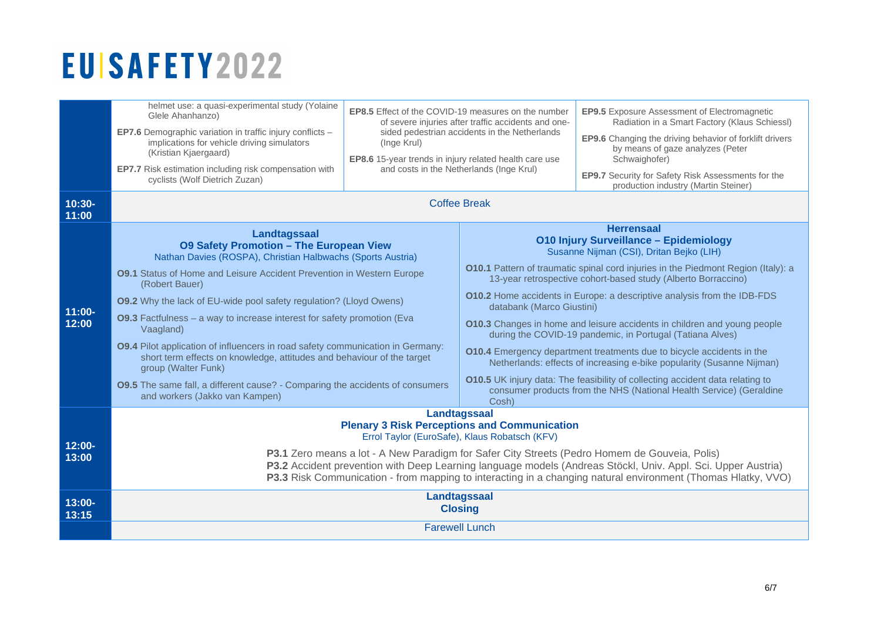| $10:30-$                    | helmet use: a quasi-experimental study (Yolaine                                                                                                                                                                                                                                                                                                                                                                                                                                                                                                                                                                                                                                                                          | <b>EP8.5</b> Effect of the COVID-19 measures on the number |                                    | EP9.5 Exposure Assessment of Electromagnetic                                                                                                                                                                                                                                                                                                                                                                                                                                                                                                                                                                                                                                                                                                                                                                     |
|-----------------------------|--------------------------------------------------------------------------------------------------------------------------------------------------------------------------------------------------------------------------------------------------------------------------------------------------------------------------------------------------------------------------------------------------------------------------------------------------------------------------------------------------------------------------------------------------------------------------------------------------------------------------------------------------------------------------------------------------------------------------|------------------------------------------------------------|------------------------------------|------------------------------------------------------------------------------------------------------------------------------------------------------------------------------------------------------------------------------------------------------------------------------------------------------------------------------------------------------------------------------------------------------------------------------------------------------------------------------------------------------------------------------------------------------------------------------------------------------------------------------------------------------------------------------------------------------------------------------------------------------------------------------------------------------------------|
|                             | Glele Ahanhanzo)                                                                                                                                                                                                                                                                                                                                                                                                                                                                                                                                                                                                                                                                                                         | of severe injuries after traffic accidents and one-        |                                    | Radiation in a Smart Factory (Klaus Schiessl)                                                                                                                                                                                                                                                                                                                                                                                                                                                                                                                                                                                                                                                                                                                                                                    |
|                             | EP7.6 Demographic variation in traffic injury conflicts -                                                                                                                                                                                                                                                                                                                                                                                                                                                                                                                                                                                                                                                                | sided pedestrian accidents in the Netherlands              |                                    | <b>EP9.6</b> Changing the driving behavior of forklift drivers                                                                                                                                                                                                                                                                                                                                                                                                                                                                                                                                                                                                                                                                                                                                                   |
|                             | implications for vehicle driving simulators                                                                                                                                                                                                                                                                                                                                                                                                                                                                                                                                                                                                                                                                              | (Inge Krul)                                                |                                    | by means of gaze analyzes (Peter                                                                                                                                                                                                                                                                                                                                                                                                                                                                                                                                                                                                                                                                                                                                                                                 |
|                             | (Kristian Kjaergaard)                                                                                                                                                                                                                                                                                                                                                                                                                                                                                                                                                                                                                                                                                                    | EP8.6 15-year trends in injury related health care use     |                                    | Schwaighofer)                                                                                                                                                                                                                                                                                                                                                                                                                                                                                                                                                                                                                                                                                                                                                                                                    |
|                             | EP7.7 Risk estimation including risk compensation with                                                                                                                                                                                                                                                                                                                                                                                                                                                                                                                                                                                                                                                                   | and costs in the Netherlands (Inge Krul)                   |                                    | EP9.7 Security for Safety Risk Assessments for the                                                                                                                                                                                                                                                                                                                                                                                                                                                                                                                                                                                                                                                                                                                                                               |
|                             | cyclists (Wolf Dietrich Zuzan)                                                                                                                                                                                                                                                                                                                                                                                                                                                                                                                                                                                                                                                                                           | <b>Coffee Break</b>                                        |                                    | production industry (Martin Steiner)                                                                                                                                                                                                                                                                                                                                                                                                                                                                                                                                                                                                                                                                                                                                                                             |
| 11:00<br>$11:00 -$<br>12:00 | Landtagssaal<br><b>09 Safety Promotion - The European View</b><br>Nathan Davies (ROSPA), Christian Halbwachs (Sports Austria)<br><b>09.1</b> Status of Home and Leisure Accident Prevention in Western Europe<br>(Robert Bauer)<br><b>09.2</b> Why the lack of EU-wide pool safety regulation? (Lloyd Owens)<br>09.3 Factfulness - a way to increase interest for safety promotion (Eva<br>Vaagland)<br><b>09.4</b> Pilot application of influencers in road safety communication in Germany:<br>short term effects on knowledge, attitudes and behaviour of the target<br>group (Walter Funk)<br><b>09.5</b> The same fall, a different cause? - Comparing the accidents of consumers<br>and workers (Jakko van Kampen) |                                                            | databank (Marco Giustini)<br>Cosh) | <b>Herrensaal</b><br><b>010 Injury Surveillance - Epidemiology</b><br>Susanne Nijman (CSI), Dritan Bejko (LIH)<br><b>O10.1</b> Pattern of traumatic spinal cord injuries in the Piedmont Region (Italy): a<br>13-year retrospective cohort-based study (Alberto Borraccino)<br><b>O10.2</b> Home accidents in Europe: a descriptive analysis from the IDB-FDS<br>010.3 Changes in home and leisure accidents in children and young people<br>during the COVID-19 pandemic, in Portugal (Tatiana Alves)<br>010.4 Emergency department treatments due to bicycle accidents in the<br>Netherlands: effects of increasing e-bike popularity (Susanne Nijman)<br>010.5 UK injury data: The feasibility of collecting accident data relating to<br>consumer products from the NHS (National Health Service) (Geraldine |
| 12:00-<br>13:00             | Landtagssaal<br><b>Plenary 3 Risk Perceptions and Communication</b><br>Errol Taylor (EuroSafe), Klaus Robatsch (KFV)<br>P3.1 Zero means a lot - A New Paradigm for Safer City Streets (Pedro Homem de Gouveia, Polis)<br>P3.2 Accident prevention with Deep Learning language models (Andreas Stöckl, Univ. Appl. Sci. Upper Austria)<br>P3.3 Risk Communication - from mapping to interacting in a changing natural environment (Thomas Hlatky, VVO)<br>Landtagssaal                                                                                                                                                                                                                                                    |                                                            |                                    |                                                                                                                                                                                                                                                                                                                                                                                                                                                                                                                                                                                                                                                                                                                                                                                                                  |
| $13:00 -$                   | <b>Closing</b>                                                                                                                                                                                                                                                                                                                                                                                                                                                                                                                                                                                                                                                                                                           |                                                            |                                    |                                                                                                                                                                                                                                                                                                                                                                                                                                                                                                                                                                                                                                                                                                                                                                                                                  |
| 13:15                       | <b>Farewell Lunch</b>                                                                                                                                                                                                                                                                                                                                                                                                                                                                                                                                                                                                                                                                                                    |                                                            |                                    |                                                                                                                                                                                                                                                                                                                                                                                                                                                                                                                                                                                                                                                                                                                                                                                                                  |